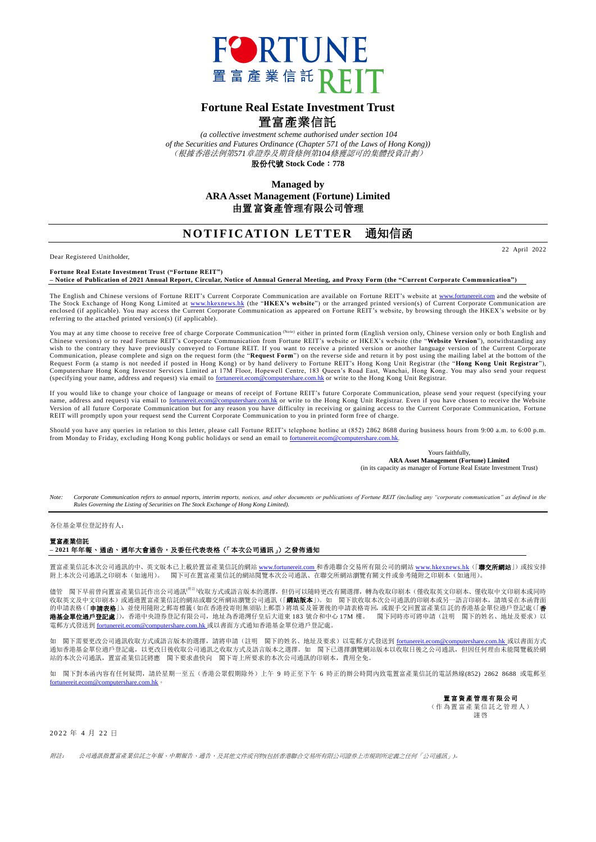

## **Fortune Real Estate Investment Trust** 置富產業信託

*(a collective investment scheme authorised under section 104 of the Securities and Futures Ordinance (Chapter 571 of the Laws of Hong Kong))* (根據香港法例第*571*章證券及期貨條例第*104*條獲認可的集體投資計劃) 股份代號 **Stock Code**:**778**

> **Managed by ARA Asset Management (Fortune) Limited** 由置富資產管理有限公司管理

## **NOTIFICATION LETTER 通知信函**

Dear Registered Unitholder,

22 April 2022

**Fortune Real Estate Investment Trust ("Fortune REIT") – Notice of Publication of 2021 Annual Report, Circular, Notice of Annual General Meeting, and Proxy Form (the "Current Corporate Communication")**

The English and Chinese versions of Fortune REIT's Current Corporate Communication are available on Fortune REIT's website at <u>www.fortunereit.com</u> and the website of<br>The Stock Exchange of Hong Kong Limited at <u>www.hkexnew</u> enclosed (if applicable). You may access the Current Corporate Communication as appeared on Fortune REIT's website, by browsing through the HKEX's website or by referring to the attached printed version(s) (if applicable).

You may at any time choose to receive free of charge Corporate Communication (<sup>Note)</sup> either in printed form (English version only, Chinese version only or both English and<br>Chinese versions) or to read Fortune REIT's Corpo Communication, please complete and sign on the request form (the "**Request Form**") on the reverse side and return it by post using the mailing label at the bottom of the<br>Request Form (a stamp is not needed if posted in Hon (specifying your name, address and request) via email to [fortunereit.ecom@computershare.com.hk](mailto:fortunereit.ecom@computershare.com.hk) or write to the Hong Kong Unit Registrar.

If you would like to change your choice of language or means of receipt of Fortune REIT's future Corporate Communication, please send your request (specifying your name, address and request) via email to <u>fortunereit.ecom@computershare.com.hk</u> or write to the Hong Kong Unit Registrar. Even if you have chosen to receive the Website<br>Version of all future Corporate Communication but for REIT will promptly upon your request send the Current Corporate Communication to you in printed form fre e of charge.

Should you have any queries in relation to this letter, please call Fortune REIT's telephone hotline at (852) 2862 8688 during business hours from 9:00 a.m. to 6:00 p.m. from Monday to Friday, excluding Hong Kong public holidays or send an email to [fortunereit.ecom@computershare.com.hk.](mailto:fortunereit.ecom@computershare.com.hk)

> Yours faithfully, **ARA Asset Management (Fortune) Limited** (in its capacity as manager of Fortune Real Estate Investment Trust)

Note: Corporate Communication refers to annual reports, interim reports, notices, and other documents or publications of Fortune REIT (including any "corporate communication" as defined in the *Rules Governing the Listing of Securities on The Stock Exchange of Hong Kong Limited).*

各位基金單位登記持有人:

置富產業信託

## **– 2021** 年年報、通函、週年大會通告,及委任代表表格(「本次公司通訊」)之發佈通知

置富產業信託本次公司通訊的中、英文版本已上載於置富產業信託的網站 <u>[www.fortunereit.com](http://www.fortunereit.com/)</u> 和香港聯合交易所有限公司的網站 <u>[www.hkexnews.hk](http://www.hkexnews.hk/)</u>(「**聯交所網站**」)或按安排<br>附上本次公司通訊之印刷本(如適用)。 閣下可在置富產業信託的網站閲覽本次公司通訊、在聯交所網站瀏覽有關文件或參考隨附之印刷本(如適用)。 閣下可在置富產業信託的網站閱覽本次公司通訊、在聯交所網站瀏覽有關文件或參考隨附之印刷本(如適用)。

儘管 閣下早前曾向置富產業信託作出公司通訊(<sup>#註</sup>)收取方式或語言版本的選擇,但仍可以隨時更改有關選擇,轉為收取印刷本(僅收取英文印刷本、僅收取中文印刷本或同時 收取英文及中文印刷本)或通過置富產業信託的網站或聯交所網站瀏覽公司通訊(「**網站版本**」)。如 閣下欲收取本次公司通訊的印刷本或另一語言印刷本,請填妥在本函背面 的申請表格(「**申請表格**」),並使用隨附之郵寄標籤(如在香港投寄則無須貼上郵票)將填妥及簽署後的申請表格寄回,或親手交回置富產業信託的香港基金單位過戶登記處(「**香 港基金單位過戶登記處**」),香港中央證券登記有限公司,地址為香港灣仔皇后大道東 183 號合和中心 17M 樓。 閣下同時亦可將申請(註明 閣下的姓名、地址及要求)以 電郵方式發送到 [fortunereit.ecom@computershare.com.hk](mailto:fortunereit.ecom@computershare.com.hk) 或以書面方式通知香港基金單位過戶登記處。

如 閣下需要更改公司通訊收取方式或語言版本的選擇,請將申請(註明 閣下的姓名、地址及要求)以電郵方式發送到 <u>[fortunereit.ecom@computershare.com.hk](mailto:fortunereit.ecom@computershare.com.hk)</u> 或以書面方式 通知香港基金單位過戶登記處,以更改日後收取公司通訊之收取方式及語言版本之選擇。如 閣下已選擇瀏覽網站版本以收取日後之公司通訊,但因任何理由未能閱覽載於網 站的本次公司通訊,置富產業信託將應 閣下要求盡快向 閣下寄上所要求的本次公司通訊的印刷本,費用全免。

如 閣下對本函內容有任何疑問,請於星期一至五(香港公眾假期除外)上午 9 時正至下午 6 時正的辦公時間內致電置富產業信託的電話熱線(852) 2862 8688 或電郵至 [fortunereit.ecom@computershare.com.hk](mailto:fortunereit.ecom@computershare.com.hk)。

> 置富資產管理有限公司 (作為置富產業信託之管理人) 謹啓

2022 年 4 月 22 日

附註: 公司通訊指置富產業信託之年報、中期報告、通告,及其他文件或刊物(包括香港聯合交易所有限公司證券上市規則所定義之任何「公司通訊」)。